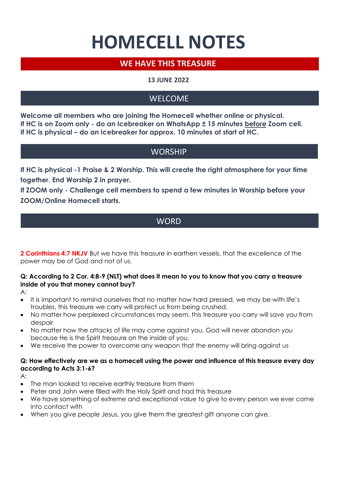# **HOMECELL NOTES**

# **WE HAVE THIS TREASURE**

## **13 JUNE 2022**

# **WELCOME**

**Welcome all members who are joining the Homecell whether online or physical. If HC is on Zoom only - do an Icebreaker on WhatsApp ± 15 minutes before Zoom cell. If HC is physical – do an Icebreaker for approx. 10 minutes at start of HC.**

# **WORSHIP**

**If HC is physical -1 Praise & 2 Worship. This will create the right atmosphere for your time together. End Worship 2 in prayer.**

**If ZOOM only - Challenge cell members to spend a few minutes in Worship before your ZOOM/Online Homecell starts.** 

# **WORD**

**2 Corinthians 4:7 NKJV** But we have this treasure in earthen vessels, that the excellence of the power may be of God and not of us.

## **Q: According to 2 Cor. 4:8-9 (NLT) what does it mean to you to know that you carry a treasure inside of you that money cannot buy?**

A:

- It is important to remind ourselves that no matter how hard pressed, we may be with life's troubles, this treasure we carry will protect us from being crushed.
- No matter how perplexed circumstances may seem, this treasure you carry will save you from despair
- No matter how the attacks of life may come against you, God will never abandon you because He is the Spirit treasure on the inside of you.
- We receive the power to overcome any weapon that the enemy will bring against us

### **Q: How effectively are we as a homecell using the power and influence of this treasure every day according to Acts 3:1-6?**

A:

- The man looked to receive earthly treasure from them
- Peter and John were filled with the Holy Spirit and had this treasure
- We have something of extreme and exceptional value to give to every person we ever come into contact with
- When you give people Jesus, you give them the greatest gift anyone can give.